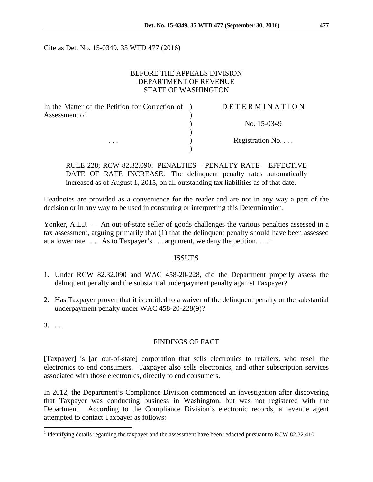Cite as Det. No. 15-0349, 35 WTD 477 (2016)

## BEFORE THE APPEALS DIVISION DEPARTMENT OF REVENUE STATE OF WASHINGTON

| In the Matter of the Petition for Correction of ) | <b>DETERMINATION</b> |
|---------------------------------------------------|----------------------|
| Assessment of                                     |                      |
|                                                   | No. 15-0349          |
|                                                   |                      |
| $\cdots$                                          | Registration No      |
|                                                   |                      |

RULE 228; RCW 82.32.090: PENALTIES – PENALTY RATE – EFFECTIVE DATE OF RATE INCREASE. The delinquent penalty rates automatically increased as of August 1, 2015, on all outstanding tax liabilities as of that date.

Headnotes are provided as a convenience for the reader and are not in any way a part of the decision or in any way to be used in construing or interpreting this Determination.

Yonker, A.L.J. – An out-of-state seller of goods challenges the various penalties assessed in a tax assessment, arguing primarily that (1) that the delinquent penalty should have been assessed at a lower rate  $\dots$ . As to Taxpayer's  $\dots$  argument, we deny the petition.  $\dots$ <sup>[1](#page-0-0)</sup>

## ISSUES

- 1. Under RCW 82.32.090 and WAC 458-20-228, did the Department properly assess the delinquent penalty and the substantial underpayment penalty against Taxpayer?
- 2. Has Taxpayer proven that it is entitled to a waiver of the delinquent penalty or the substantial underpayment penalty under WAC 458-20-228(9)?
- $3. \ldots$

## FINDINGS OF FACT

[Taxpayer] is [an out-of-state] corporation that sells electronics to retailers, who resell the electronics to end consumers. Taxpayer also sells electronics, and other subscription services associated with those electronics, directly to end consumers.

In 2012, the Department's Compliance Division commenced an investigation after discovering that Taxpayer was conducting business in Washington, but was not registered with the Department. According to the Compliance Division's electronic records, a revenue agent attempted to contact Taxpayer as follows:

<span id="page-0-0"></span><sup>&</sup>lt;sup>1</sup> Identifying details regarding the taxpayer and the assessment have been redacted pursuant to RCW 82.32.410.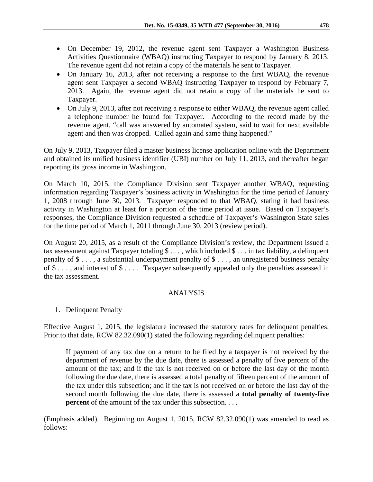- On December 19, 2012, the revenue agent sent Taxpayer a Washington Business Activities Questionnaire (WBAQ) instructing Taxpayer to respond by January 8, 2013. The revenue agent did not retain a copy of the materials he sent to Taxpayer.
- On January 16, 2013, after not receiving a response to the first WBAQ, the revenue agent sent Taxpayer a second WBAQ instructing Taxpayer to respond by February 7, 2013. Again, the revenue agent did not retain a copy of the materials he sent to Taxpayer.
- On July 9, 2013, after not receiving a response to either WBAQ, the revenue agent called a telephone number he found for Taxpayer. According to the record made by the revenue agent, "call was answered by automated system, said to wait for next available agent and then was dropped. Called again and same thing happened."

On July 9, 2013, Taxpayer filed a master business license application online with the Department and obtained its unified business identifier (UBI) number on July 11, 2013, and thereafter began reporting its gross income in Washington.

On March 10, 2015, the Compliance Division sent Taxpayer another WBAQ, requesting information regarding Taxpayer's business activity in Washington for the time period of January 1, 2008 through June 30, 2013. Taxpayer responded to that WBAQ, stating it had business activity in Washington at least for a portion of the time period at issue. Based on Taxpayer's responses, the Compliance Division requested a schedule of Taxpayer's Washington State sales for the time period of March 1, 2011 through June 30, 2013 (review period).

On August 20, 2015, as a result of the Compliance Division's review, the Department issued a tax assessment against Taxpayer totaling  $\$\ldots$ , which included  $\$\ldots$  in tax liability, a delinquent penalty of  $\$\ldots$ , a substantial underpayment penalty of  $\$\ldots$ , an unregistered business penalty of \$ . . . , and interest of \$ . . . . Taxpayer subsequently appealed only the penalties assessed in the tax assessment.

# ANALYSIS

# 1. Delinquent Penalty

Effective August 1, 2015, the legislature increased the statutory rates for delinquent penalties. Prior to that date, RCW 82.32.090(1) stated the following regarding delinquent penalties:

If payment of any tax due on a return to be filed by a taxpayer is not received by the department of revenue by the due date, there is assessed a penalty of five percent of the amount of the tax; and if the tax is not received on or before the last day of the month following the due date, there is assessed a total penalty of fifteen percent of the amount of the tax under this subsection; and if the tax is not received on or before the last day of the second month following the due date, there is assessed a **total penalty of twenty-five percent** of the amount of the tax under this subsection. . . .

(Emphasis added). Beginning on August 1, 2015, RCW 82.32.090(1) was amended to read as follows: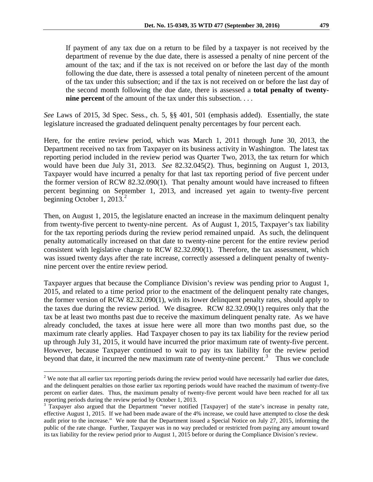If payment of any tax due on a return to be filed by a taxpayer is not received by the department of revenue by the due date, there is assessed a penalty of nine percent of the amount of the tax; and if the tax is not received on or before the last day of the month following the due date, there is assessed a total penalty of nineteen percent of the amount of the tax under this subsection; and if the tax is not received on or before the last day of the second month following the due date, there is assessed a **total penalty of twentynine percent** of the amount of the tax under this subsection. . . .

*See* Laws of 2015, 3d Spec. Sess., ch. 5, §§ 401, 501 (emphasis added). Essentially, the state legislature increased the graduated delinquent penalty percentages by four percent each.

Here, for the entire review period, which was March 1, 2011 through June 30, 2013, the Department received no tax from Taxpayer on its business activity in Washington. The latest tax reporting period included in the review period was Quarter Two, 2013, the tax return for which would have been due July 31, 2013. *See* 82.32.045(2). Thus, beginning on August 1, 2013, Taxpayer would have incurred a penalty for that last tax reporting period of five percent under the former version of RCW 82.32.090(1). That penalty amount would have increased to fifteen percent beginning on September 1, 2013, and increased yet again to twenty-five percent beginning October 1, [2](#page-2-0)013. $^2$ 

Then, on August 1, 2015, the legislature enacted an increase in the maximum delinquent penalty from twenty-five percent to twenty-nine percent. As of August 1, 2015, Taxpayer's tax liability for the tax reporting periods during the review period remained unpaid. As such, the delinquent penalty automatically increased on that date to twenty-nine percent for the entire review period consistent with legislative change to RCW 82.32.090(1). Therefore, the tax assessment, which was issued twenty days after the rate increase, correctly assessed a delinquent penalty of twentynine percent over the entire review period.

Taxpayer argues that because the Compliance Division's review was pending prior to August 1, 2015, and related to a time period prior to the enactment of the delinquent penalty rate changes, the former version of RCW 82.32.090(1), with its lower delinquent penalty rates, should apply to the taxes due during the review period. We disagree. RCW 82.32.090(1) requires only that the tax be at least two months past due to receive the maximum delinquent penalty rate. As we have already concluded, the taxes at issue here were all more than two months past due, so the maximum rate clearly applies. Had Taxpayer chosen to pay its tax liability for the review period up through July 31, 2015, it would have incurred the prior maximum rate of twenty-five percent. However, because Taxpayer continued to wait to pay its tax liability for the review period beyond that date, it incurred the new maximum rate of twenty-nine percent.<sup>[3](#page-2-1)</sup> Thus we conclude

<span id="page-2-0"></span> $2$  We note that all earlier tax reporting periods during the review period would have necessarily had earlier due dates, and the delinquent penalties on those earlier tax reporting periods would have reached the maximum of twenty-five percent on earlier dates. Thus, the maximum penalty of twenty-five percent would have been reached for all tax reporting periods during the review period by October 1, 2013.

<span id="page-2-1"></span><sup>&</sup>lt;sup>3</sup> Taxpayer also argued that the Department "never notified [Taxpayer] of the state's increase in penalty rate, effective August 1, 2015. If we had been made aware of the 4% increase, we could have attempted to close the desk audit prior to the increase." We note that the Department issued a Special Notice on July 27, 2015, informing the public of the rate change. Further, Taxpayer was in no way precluded or restricted from paying any amount toward its tax liability for the review period prior to August 1, 2015 before or during the Compliance Division's review.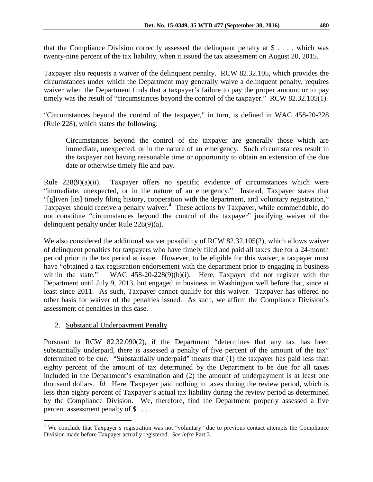that the Compliance Division correctly assessed the delinquent penalty at  $\$\ldots\}$ , which was twenty-nine percent of the tax liability, when it issued the tax assessment on August 20, 2015.

Taxpayer also requests a waiver of the delinquent penalty. RCW 82.32.105, which provides the circumstances under which the Department may generally waive a delinquent penalty, requires waiver when the Department finds that a taxpayer's failure to pay the proper amount or to pay timely was the result of "circumstances beyond the control of the taxpayer." RCW 82.32.105(1).

"Circumstances beyond the control of the taxpayer," in turn, is defined in WAC 458-20-228 (Rule 228), which states the following:

Circumstances beyond the control of the taxpayer are generally those which are immediate, unexpected, or in the nature of an emergency. Such circumstances result in the taxpayer not having reasonable time or opportunity to obtain an extension of the due date or otherwise timely file and pay.

Rule 228(9)(a)(ii). Taxpayer offers no specific evidence of circumstances which were "immediate, unexpected, or in the nature of an emergency." Instead, Taxpayer states that "[g]iven [its] timely filing history, cooperation with the department, and voluntary registration," Taxpayer should receive a penalty waiver.<sup>[4](#page-3-0)</sup> These actions by Taxpayer, while commendable, do not constitute "circumstances beyond the control of the taxpayer" justifying waiver of the delinquent penalty under Rule 228(9)(a).

We also considered the additional waiver possibility of RCW 82.32.105(2), which allows waiver of delinquent penalties for taxpayers who have timely filed and paid all taxes due for a 24-month period prior to the tax period at issue. However, to be eligible for this waiver, a taxpayer must have "obtained a tax registration endorsement with the department prior to engaging in business within the state." WAC  $458-20-228(9)(b)(i)$ . Here, Taxpayer did not register with the Department until July 9, 2013, but engaged in business in Washington well before that, since at least since 2011. As such, Taxpayer cannot qualify for this waiver. Taxpayer has offered no other basis for waiver of the penalties issued. As such, we affirm the Compliance Division's assessment of penalties in this case.

# 2. Substantial Underpayment Penalty

Pursuant to RCW 82.32.090(2), if the Department "determines that any tax has been substantially underpaid, there is assessed a penalty of five percent of the amount of the tax" determined to be due. "Substantially underpaid" means that (1) the taxpayer has paid less than eighty percent of the amount of tax determined by the Department to be due for all taxes included in the Department's examination and (2) the amount of underpayment is at least one thousand dollars. *Id.* Here, Taxpayer paid nothing in taxes during the review period, which is less than eighty percent of Taxpayer's actual tax liability during the review period as determined by the Compliance Division. We, therefore, find the Department properly assessed a five percent assessment penalty of \$ . . . .

<span id="page-3-0"></span><sup>&</sup>lt;sup>4</sup> We conclude that Taxpayer's registration was not "voluntary" due to previous contact attempts the Compliance Division made before Taxpayer actually registered. *See infra* Part 3.